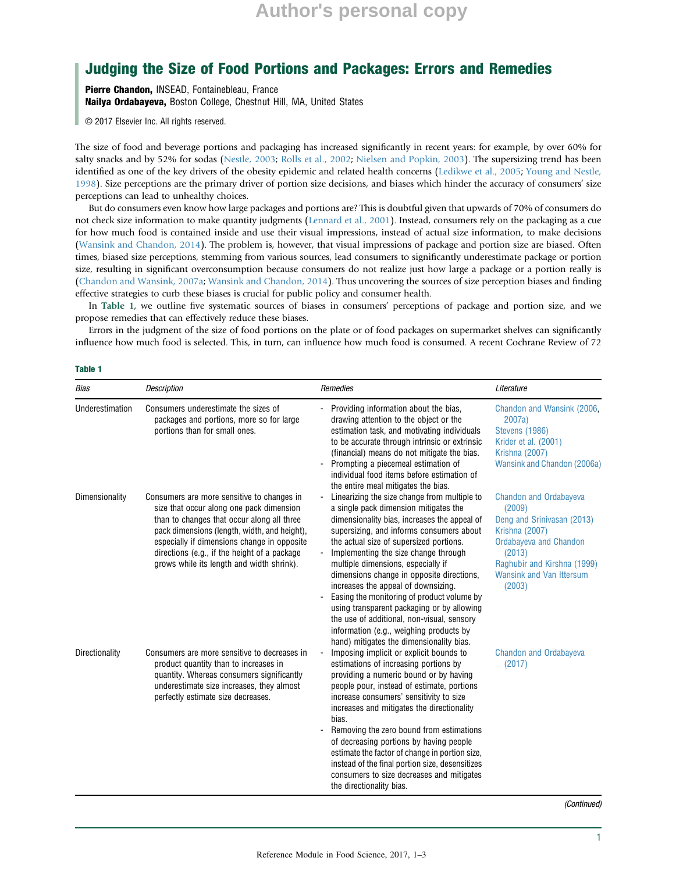# **Author's personal copy**

## Judging the Size of Food Portions and Packages: Errors and Remedies

Pierre Chandon, INSEAD, Fontainebleau, France Nailya Ordabayeva, Boston College, Chestnut Hill, MA, United States

© 2017 Elsevier Inc. All rights reserved.

The size of food and beverage portions and packaging has increased significantly in recent years: for example, by over 60% for salty snacks and by 52% for sodas (Nestle, 2003; Rolls et al., 2002; Nielsen and Popkin, 2003). The supersizing trend has been identified as one of the key drivers of the obesity epidemic and related health concerns (Ledikwe et al., 2005; Young and Nestle, 1998). Size perceptions are the primary driver of portion size decisions, and biases which hinder the accuracy of consumers' size perceptions can lead to unhealthy choices.

But do consumers even know how large packages and portions are? This is doubtful given that upwards of 70% of consumers do not check size information to make quantity judgments (Lennard et al., 2001). Instead, consumers rely on the packaging as a cue for how much food is contained inside and use their visual impressions, instead of actual size information, to make decisions (Wansink and Chandon, 2014). The problem is, however, that visual impressions of package and portion size are biased. Often times, biased size perceptions, stemming from various sources, lead consumers to significantly underestimate package or portion size, resulting in significant overconsumption because consumers do not realize just how large a package or a portion really is (Chandon and Wansink, 2007a; Wansink and Chandon, 2014). Thus uncovering the sources of size perception biases and finding effective strategies to curb these biases is crucial for public policy and consumer health.

In Table 1, we outline five systematic sources of biases in consumers' perceptions of package and portion size, and we propose remedies that can effectively reduce these biases.

Errors in the judgment of the size of food portions on the plate or of food packages on supermarket shelves can significantly influence how much food is selected. This, in turn, can influence how much food is consumed. A recent Cochrane Review of 72

#### Table 1

| Bias            | <b>Description</b>                                                                                                                                                                                                                                                                                                               | Remedies                                                                                                                                                                                                                                                                                                                                                                                                                                                                                                                                                                                                                        | Literature                                                                                                                                                                                                     |
|-----------------|----------------------------------------------------------------------------------------------------------------------------------------------------------------------------------------------------------------------------------------------------------------------------------------------------------------------------------|---------------------------------------------------------------------------------------------------------------------------------------------------------------------------------------------------------------------------------------------------------------------------------------------------------------------------------------------------------------------------------------------------------------------------------------------------------------------------------------------------------------------------------------------------------------------------------------------------------------------------------|----------------------------------------------------------------------------------------------------------------------------------------------------------------------------------------------------------------|
| Underestimation | Consumers underestimate the sizes of<br>packages and portions, more so for large<br>portions than for small ones.                                                                                                                                                                                                                | Providing information about the bias,<br>drawing attention to the object or the<br>estimation task, and motivating individuals<br>to be accurate through intrinsic or extrinsic<br>(financial) means do not mitigate the bias.<br>Prompting a piecemeal estimation of<br>individual food items before estimation of<br>the entire meal mitigates the bias.                                                                                                                                                                                                                                                                      | Chandon and Wansink (2006,<br>2007a)<br><b>Stevens (1986)</b><br>Krider et al. (2001)<br><b>Krishna (2007)</b><br>Wansink and Chandon (2006a)                                                                  |
| Dimensionality  | Consumers are more sensitive to changes in<br>size that occur along one pack dimension<br>than to changes that occur along all three<br>pack dimensions (length, width, and height),<br>especially if dimensions change in opposite<br>directions (e.g., if the height of a package<br>grows while its length and width shrink). | Linearizing the size change from multiple to<br>a single pack dimension mitigates the<br>dimensionality bias, increases the appeal of<br>supersizing, and informs consumers about<br>the actual size of supersized portions.<br>Implementing the size change through<br>multiple dimensions, especially if<br>dimensions change in opposite directions,<br>increases the appeal of downsizing.<br>Easing the monitoring of product volume by<br>using transparent packaging or by allowing<br>the use of additional, non-visual, sensory<br>information (e.g., weighing products by<br>hand) mitigates the dimensionality bias. | <b>Chandon and Ordabayeva</b><br>(2009)<br>Deng and Srinivasan (2013)<br><b>Krishna (2007)</b><br>Ordabayeva and Chandon<br>(2013)<br>Raghubir and Kirshna (1999)<br><b>Wansink and Van Ittersum</b><br>(2003) |
| Directionality  | Consumers are more sensitive to decreases in<br>product quantity than to increases in<br>quantity. Whereas consumers significantly<br>underestimate size increases, they almost<br>perfectly estimate size decreases.                                                                                                            | Imposing implicit or explicit bounds to<br>estimations of increasing portions by<br>providing a numeric bound or by having<br>people pour, instead of estimate, portions<br>increase consumers' sensitivity to size<br>increases and mitigates the directionality<br>bias.<br>Removing the zero bound from estimations<br>of decreasing portions by having people<br>estimate the factor of change in portion size,<br>instead of the final portion size, desensitizes<br>consumers to size decreases and mitigates<br>the directionality bias.                                                                                 | <b>Chandon and Ordabayeva</b><br>(2017)                                                                                                                                                                        |

(Continued)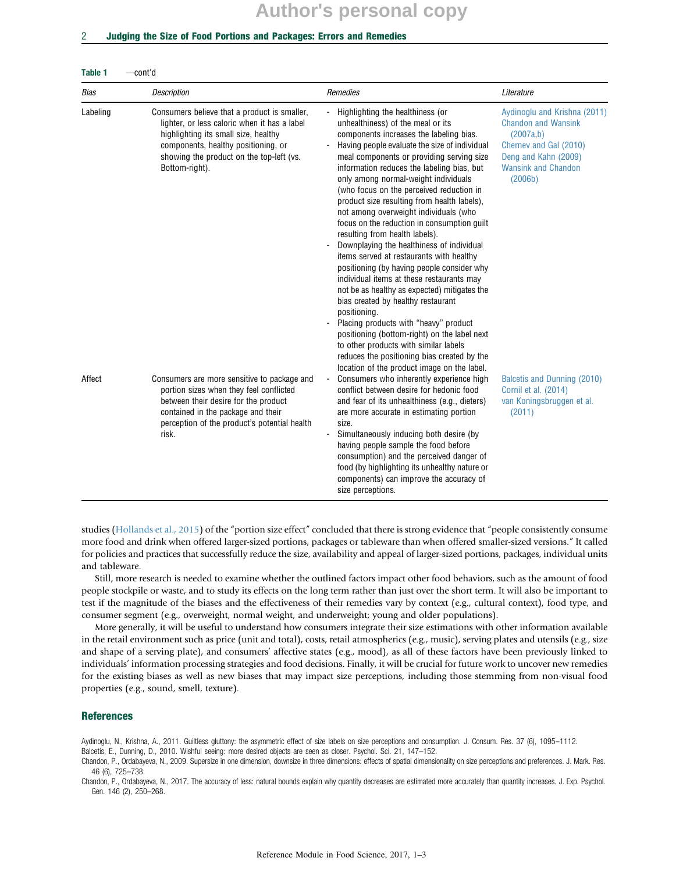# **Author's personal copy**

#### 2 Judging the Size of Food Portions and Packages: Errors and Remedies

| Bias     | <b>Description</b>                                                                                                                                                                                                                        | Remedies                                                                                                                                                                                                                                                                                                                                                                                                                                                                                                                                                                                                                                                                                                                                                                                                                                                                                                                                                                                                                                            | Literature                                                                                                                                                         |
|----------|-------------------------------------------------------------------------------------------------------------------------------------------------------------------------------------------------------------------------------------------|-----------------------------------------------------------------------------------------------------------------------------------------------------------------------------------------------------------------------------------------------------------------------------------------------------------------------------------------------------------------------------------------------------------------------------------------------------------------------------------------------------------------------------------------------------------------------------------------------------------------------------------------------------------------------------------------------------------------------------------------------------------------------------------------------------------------------------------------------------------------------------------------------------------------------------------------------------------------------------------------------------------------------------------------------------|--------------------------------------------------------------------------------------------------------------------------------------------------------------------|
| Labeling | Consumers believe that a product is smaller,<br>lighter, or less caloric when it has a label<br>highlighting its small size, healthy<br>components, healthy positioning, or<br>showing the product on the top-left (vs.<br>Bottom-right). | Highlighting the healthiness (or<br>unhealthiness) of the meal or its<br>components increases the labeling bias.<br>Having people evaluate the size of individual<br>meal components or providing serving size<br>information reduces the labeling bias, but<br>only among normal-weight individuals<br>(who focus on the perceived reduction in<br>product size resulting from health labels),<br>not among overweight individuals (who<br>focus on the reduction in consumption guilt<br>resulting from health labels).<br>Downplaying the healthiness of individual<br>items served at restaurants with healthy<br>positioning (by having people consider why<br>individual items at these restaurants may<br>not be as healthy as expected) mitigates the<br>bias created by healthy restaurant<br>positioning.<br>Placing products with "heavy" product<br>positioning (bottom-right) on the label next<br>to other products with similar labels<br>reduces the positioning bias created by the<br>location of the product image on the label. | Aydinoglu and Krishna (2011)<br><b>Chandon and Wansink</b><br>(2007a,b)<br>Cherney and Gal (2010)<br>Deng and Kahn (2009)<br><b>Wansink and Chandon</b><br>(2006b) |
| Affect   | Consumers are more sensitive to package and<br>portion sizes when they feel conflicted<br>between their desire for the product<br>contained in the package and their<br>perception of the product's potential health<br>risk.             | Consumers who inherently experience high<br>conflict between desire for hedonic food<br>and fear of its unhealthiness (e.g., dieters)<br>are more accurate in estimating portion<br>size.<br>Simultaneously inducing both desire (by<br>having people sample the food before<br>consumption) and the perceived danger of<br>food (by highlighting its unhealthy nature or<br>components) can improve the accuracy of<br>size perceptions.                                                                                                                                                                                                                                                                                                                                                                                                                                                                                                                                                                                                           | <b>Balcetis and Dunning (2010)</b><br>Cornil et al. (2014)<br>van Koningsbruggen et al.<br>(2011)                                                                  |

studies (Hollands et al., 2015) of the "portion size effect" concluded that there is strong evidence that "people consistently consume more food and drink when offered larger-sized portions, packages or tableware than when offered smaller-sized versions." It called for policies and practices that successfully reduce the size, availability and appeal of larger-sized portions, packages, individual units and tableware.

Still, more research is needed to examine whether the outlined factors impact other food behaviors, such as the amount of food people stockpile or waste, and to study its effects on the long term rather than just over the short term. It will also be important to test if the magnitude of the biases and the effectiveness of their remedies vary by context (e.g., cultural context), food type, and consumer segment (e.g., overweight, normal weight, and underweight; young and older populations).

More generally, it will be useful to understand how consumers integrate their size estimations with other information available in the retail environment such as price (unit and total), costs, retail atmospherics (e.g., music), serving plates and utensils (e.g., size and shape of a serving plate), and consumers' affective states (e.g., mood), as all of these factors have been previously linked to individuals' information processing strategies and food decisions. Finally, it will be crucial for future work to uncover new remedies for the existing biases as well as new biases that may impact size perceptions, including those stemming from non-visual food properties (e.g., sound, smell, texture).

### References

Aydinoglu, N., Krishna, A., 2011. Guiltless gluttony: the asymmetric effect of size labels on size perceptions and consumption. J. Consum. Res. 37 (6), 1095–1112.

Balcetis, E., Dunning, D., 2010. Wishful seeing: more desired objects are seen as closer. Psychol. Sci. 21, 147–152.

Chandon, P., Ordabayeva, N., 2009. Supersize in one dimension, downsize in three dimensions: effects of spatial dimensionality on size perceptions and preferences. J. Mark. Res. 46 (6), 725–738.

Chandon, P., Ordabayeva, N., 2017. The accuracy of less: natural bounds explain why quantity decreases are estimated more accurately than quantity increases. J. Exp. Psychol. Gen. 146 (2), 250–268.